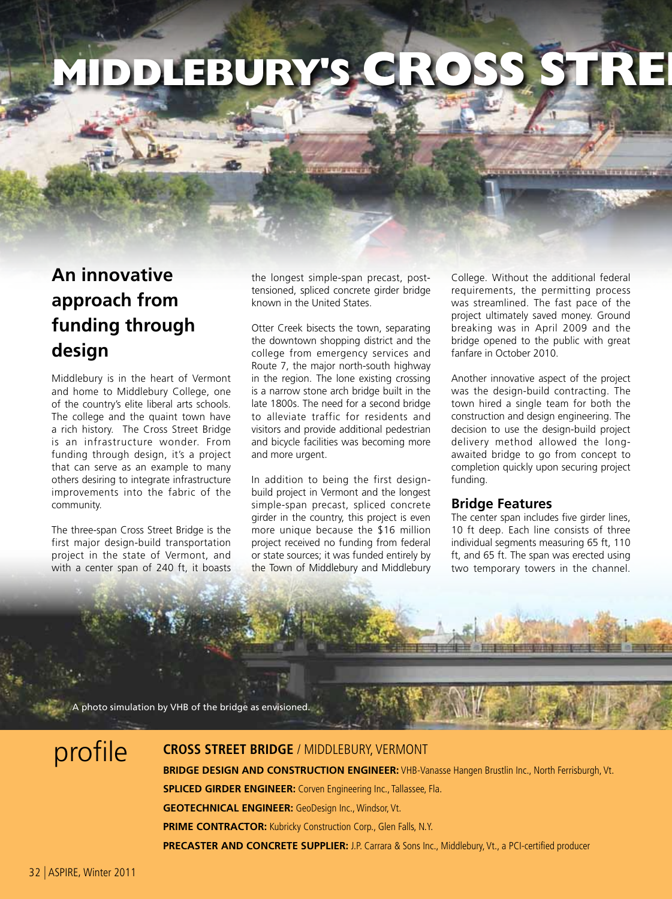# **MIDDLEBURY'S**

## **An innovative approach from funding through design**

Middlebury is in the heart of Vermont and home to Middlebury College, one of the country's elite liberal arts schools. The college and the quaint town have a rich history. The Cross Street Bridge is an infrastructure wonder. From funding through design, it's a project that can serve as an example to many others desiring to integrate infrastructure improvements into the fabric of the community.

The three-span Cross Street Bridge is the first major design-build transportation project in the state of Vermont, and with a center span of 240 ft, it boasts

the longest simple-span precast, posttensioned, spliced concrete girder bridge known in the United States.

Otter Creek bisects the town, separating the downtown shopping district and the college from emergency services and Route 7, the major north-south highway in the region. The lone existing crossing is a narrow stone arch bridge built in the late 1800s. The need for a second bridge to alleviate traffic for residents and visitors and provide additional pedestrian and bicycle facilities was becoming more and more urgent.

In addition to being the first designbuild project in Vermont and the longest simple-span precast, spliced concrete girder in the country, this project is even more unique because the \$16 million project received no funding from federal or state sources; it was funded entirely by the Town of Middlebury and Middlebury

College. Without the additional federal requirements, the permitting process was streamlined. The fast pace of the project ultimately saved money. Ground breaking was in April 2009 and the bridge opened to the public with great fanfare in October 2010.

**COVERS FRYERSON** 

Another innovative aspect of the project was the design-build contracting. The town hired a single team for both the construction and design engineering. The decision to use the design-build project delivery method allowed the longawaited bridge to go from concept to completion quickly upon securing project funding.

#### **Bridge Features**

The center span includes five girder lines, 10 ft deep. Each line consists of three individual segments measuring 65 ft, 110 ft, and 65 ft. The span was erected using two temporary towers in the channel.

A photo simulation by VHB of the bridge as envisioned.

## profile

### **cross street bridge** / middlebury, vermont

**BRIDGE DESIGN AND CONSTRUCTION ENGINEER:** VHB-Vanasse Hangen Brustlin Inc., North Ferrisburgh, Vt. **SPLICED GIRDER ENGINEER:** Corven Engineering Inc., Tallassee, Fla. **GEOTECHNICAL ENGINEER:** GeoDesign Inc., Windsor, Vt. **PRIME CONTRACTOR:** Kubricky Construction Corp., Glen Falls, N.Y. **PRECASTER AND CONCRETE SUPPLIER:** J.P. Carrara & Sons Inc., Middlebury, Vt., a PCI-certified producer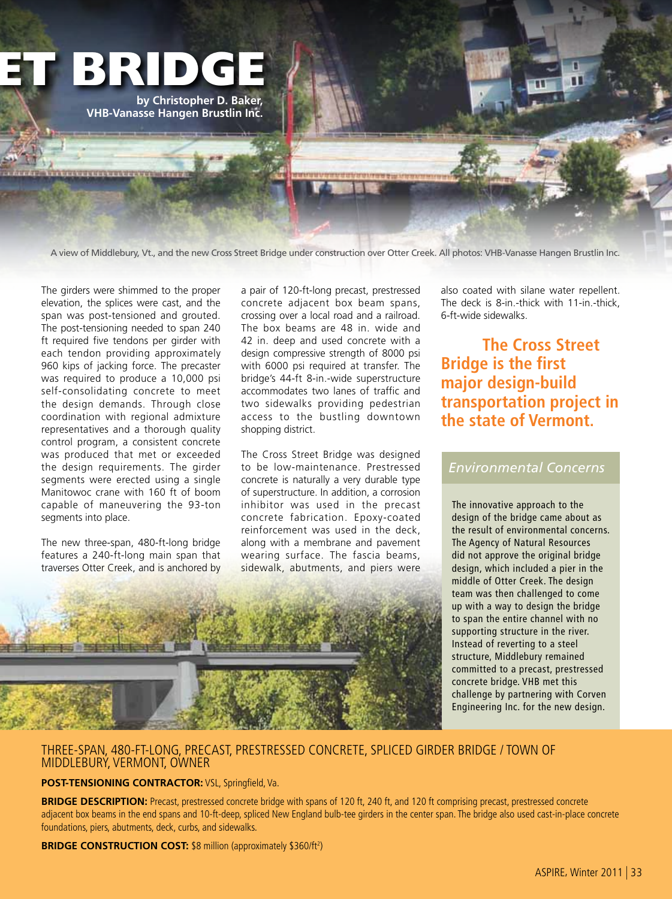

A view of Middlebury, Vt., and the new Cross Street Bridge under construction over Otter Creek. All photos: VHB-Vanasse Hangen Brustlin Inc.

The girders were shimmed to the proper elevation, the splices were cast, and the span was post-tensioned and grouted. The post-tensioning needed to span 240 ft required five tendons per girder with each tendon providing approximately 960 kips of jacking force. The precaster was required to produce a 10,000 psi self-consolidating concrete to meet the design demands. Through close coordination with regional admixture representatives and a thorough quality control program, a consistent concrete was produced that met or exceeded the design requirements. The girder segments were erected using a single Manitowoc crane with 160 ft of boom capable of maneuvering the 93-ton segments into place.

The new three-span, 480-ft-long bridge features a 240-ft-long main span that traverses Otter Creek, and is anchored by a pair of 120-ft-long precast, prestressed concrete adjacent box beam spans, crossing over a local road and a railroad. The box beams are 48 in. wide and 42 in. deep and used concrete with a design compressive strength of 8000 psi with 6000 psi required at transfer. The bridge's 44-ft 8-in.-wide superstructure accommodates two lanes of traffic and two sidewalks providing pedestrian access to the bustling downtown shopping district.

The Cross Street Bridge was designed to be low-maintenance. Prestressed concrete is naturally a very durable type of superstructure. In addition, a corrosion inhibitor was used in the precast concrete fabrication. Epoxy-coated reinforcement was used in the deck, along with a membrane and pavement wearing surface. The fascia beams, sidewalk, abutments, and piers were

also coated with silane water repellent. The deck is 8-in.-thick with 11-in.-thick, 6-ft-wide sidewalks.

**The Cross Street Bridge is the first major design-build transportation project in the state of Vermont.**

### *Environmental Concerns*

The innovative approach to the design of the bridge came about as the result of environmental concerns. The Agency of Natural Resources did not approve the original bridge design, which included a pier in the middle of Otter Creek. The design team was then challenged to come up with a way to design the bridge to span the entire channel with no supporting structure in the river. Instead of reverting to a steel structure, Middlebury remained committed to a precast, prestressed concrete bridge. VHB met this challenge by partnering with Corven Engineering Inc. for the new design.

#### THREE-SPAN, 480-FT-LONG, PRECAST, PRESTRESSED CONCRETE, SPLICED GIRDER BRIDGE / TOWN OF MIDDLEBURY, VERMONT, OWNER

#### **POST-TENSIONING CONTRACTOR:** VSL, Springfield, Va.

**BRIDGE DESCRIPTION:** Precast, prestressed concrete bridge with spans of 120 ft, 240 ft, and 120 ft comprising precast, prestressed concrete adjacent box beams in the end spans and 10-ft-deep, spliced New England bulb-tee girders in the center span. The bridge also used cast-in-place concrete foundations, piers, abutments, deck, curbs, and sidewalks.

**BRIDGE CONSTRUCTION COST: \$8 million (approximately \$360/ft<sup>2</sup>)**